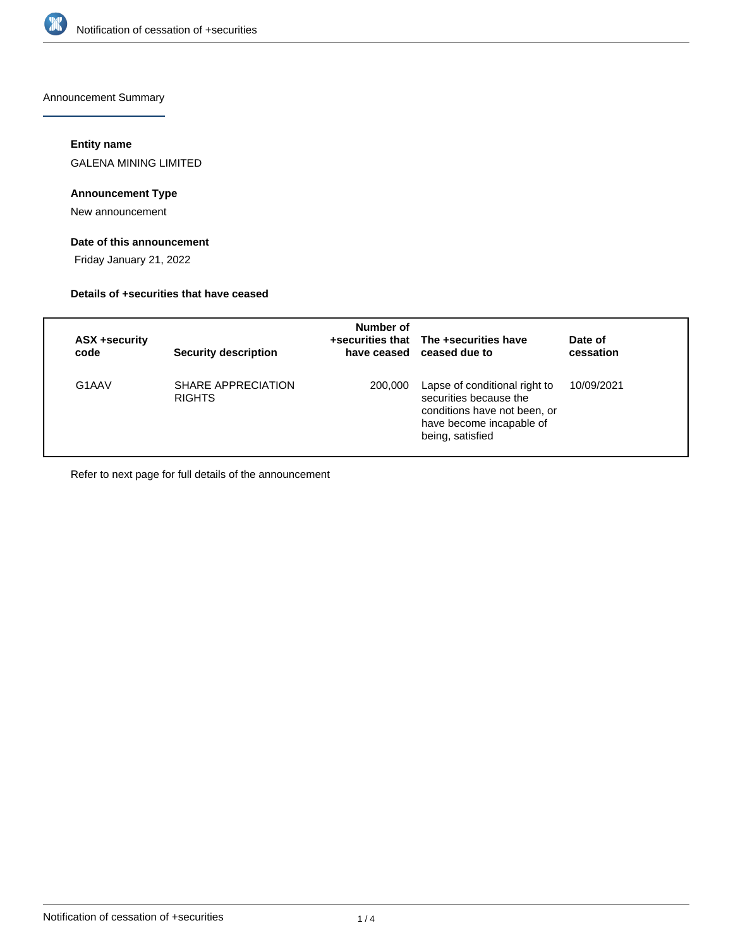

Announcement Summary

### **Entity name**

GALENA MINING LIMITED

### **Announcement Type**

New announcement

## **Date of this announcement**

Friday January 21, 2022

### **Details of +securities that have ceased**

| ASX +security<br>code | <b>Security description</b>         | Number of | +securities that The +securities have<br>have ceased ceased due to                                                                      | Date of<br>cessation |
|-----------------------|-------------------------------------|-----------|-----------------------------------------------------------------------------------------------------------------------------------------|----------------------|
| G1AAV                 | SHARE APPRECIATION<br><b>RIGHTS</b> | 200,000   | Lapse of conditional right to<br>securities because the<br>conditions have not been, or<br>have become incapable of<br>being, satisfied | 10/09/2021           |

Refer to next page for full details of the announcement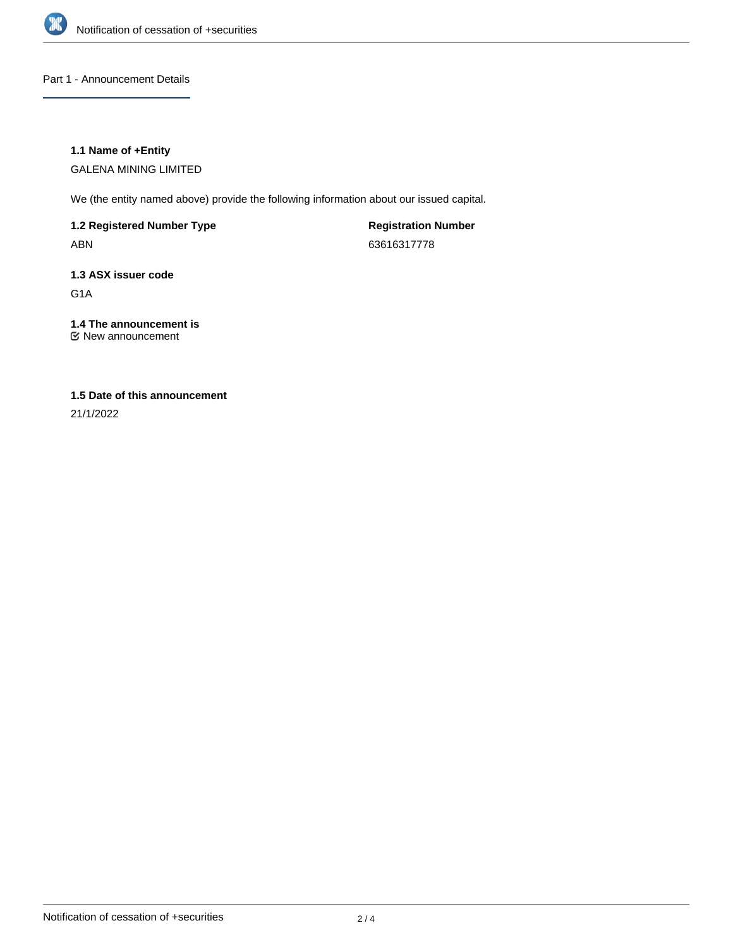

Part 1 - Announcement Details

### **1.1 Name of +Entity**

GALENA MINING LIMITED

We (the entity named above) provide the following information about our issued capital.

**1.2 Registered Number Type**

ABN

**Registration Number** 63616317778

# **1.3 ASX issuer code**

G1A

# **1.4 The announcement is**

New announcement

## **1.5 Date of this announcement**

21/1/2022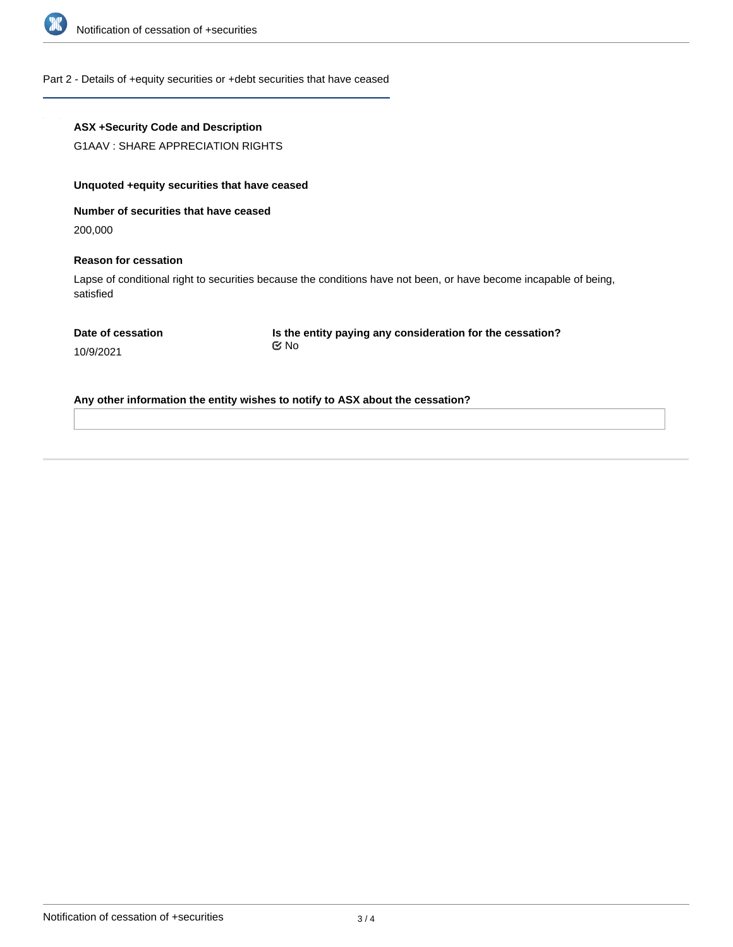

Part 2 - Details of +equity securities or +debt securities that have ceased

### **ASX +Security Code and Description**

G1AAV : SHARE APPRECIATION RIGHTS

### **Unquoted +equity securities that have ceased**

**Number of securities that have ceased**

200,000

### **Reason for cessation**

Lapse of conditional right to securities because the conditions have not been, or have become incapable of being, satisfied

10/9/2021

**Is the entity paying any consideration for the cessation?** No

**Any other information the entity wishes to notify to ASX about the cessation?**